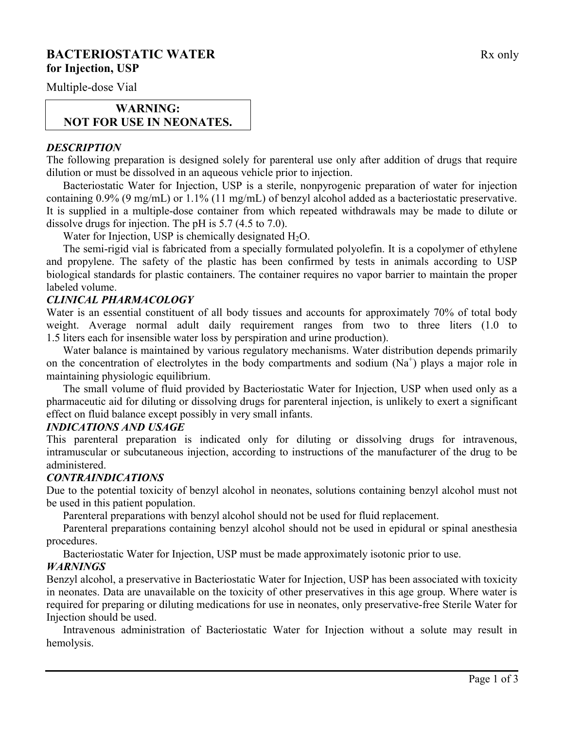# **BACTERIOSTATIC WATER** Rx only **for Injection, USP**

Multiple-dose Vial

## **WARNING: NOT FOR USE IN NEONATES.**

### *DESCRIPTION*

The following preparation is designed solely for parenteral use only after addition of drugs that require dilution or must be dissolved in an aqueous vehicle prior to injection.

Bacteriostatic Water for Injection, USP is a sterile, nonpyrogenic preparation of water for injection containing 0.9% (9 mg/mL) or 1.1% (11 mg/mL) of benzyl alcohol added as a bacteriostatic preservative. It is supplied in a multiple-dose container from which repeated withdrawals may be made to dilute or dissolve drugs for injection. The pH is 5.7 (4.5 to 7.0).

Water for Injection, USP is chemically designated  $H_2O$ .

The semi-rigid vial is fabricated from a specially formulated polyolefin. It is a copolymer of ethylene and propylene. The safety of the plastic has been confirmed by tests in animals according to USP biological standards for plastic containers. The container requires no vapor barrier to maintain the proper labeled volume.

## *CLINICAL PHARMACOLOGY*

Water is an essential constituent of all body tissues and accounts for approximately 70% of total body weight. Average normal adult daily requirement ranges from two to three liters (1.0 to 1.5 liters each for insensible water loss by perspiration and urine production).

Water balance is maintained by various regulatory mechanisms. Water distribution depends primarily on the concentration of electrolytes in the body compartments and sodium  $(Na^+)$  plays a major role in maintaining physiologic equilibrium.

The small volume of fluid provided by Bacteriostatic Water for Injection, USP when used only as a pharmaceutic aid for diluting or dissolving drugs for parenteral injection, is unlikely to exert a significant effect on fluid balance except possibly in very small infants.

#### *INDICATIONS AND USAGE*

This parenteral preparation is indicated only for diluting or dissolving drugs for intravenous, intramuscular or subcutaneous injection, according to instructions of the manufacturer of the drug to be administered.

## *CONTRAINDICATIONS*

Due to the potential toxicity of benzyl alcohol in neonates, solutions containing benzyl alcohol must not be used in this patient population.

Parenteral preparations with benzyl alcohol should not be used for fluid replacement.

Parenteral preparations containing benzyl alcohol should not be used in epidural or spinal anesthesia procedures.

Bacteriostatic Water for Injection, USP must be made approximately isotonic prior to use.

## *WARNINGS*

Benzyl alcohol, a preservative in Bacteriostatic Water for Injection, USP has been associated with toxicity in neonates. Data are unavailable on the toxicity of other preservatives in this age group. Where water is required for preparing or diluting medications for use in neonates, only preservative-free Sterile Water for Injection should be used.

Intravenous administration of Bacteriostatic Water for Injection without a solute may result in hemolysis.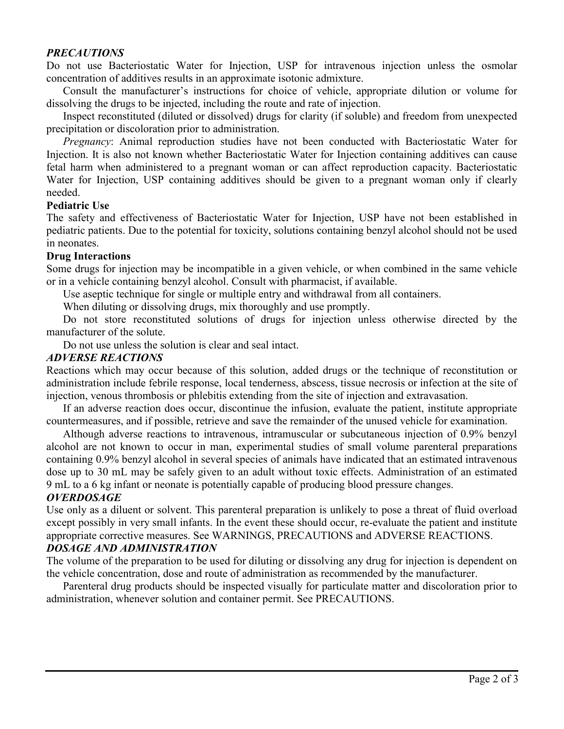## *PRECAUTIONS*

Do not use Bacteriostatic Water for Injection, USP for intravenous injection unless the osmolar concentration of additives results in an approximate isotonic admixture.

Consult the manufacturer's instructions for choice of vehicle, appropriate dilution or volume for dissolving the drugs to be injected, including the route and rate of injection.

Inspect reconstituted (diluted or dissolved) drugs for clarity (if soluble) and freedom from unexpected precipitation or discoloration prior to administration.

*Pregnancy*: Animal reproduction studies have not been conducted with Bacteriostatic Water for Injection. It is also not known whether Bacteriostatic Water for Injection containing additives can cause fetal harm when administered to a pregnant woman or can affect reproduction capacity. Bacteriostatic Water for Injection, USP containing additives should be given to a pregnant woman only if clearly needed.

#### **Pediatric Use**

The safety and effectiveness of Bacteriostatic Water for Injection, USP have not been established in pediatric patients. Due to the potential for toxicity, solutions containing benzyl alcohol should not be used in neonates.

#### **Drug Interactions**

Some drugs for injection may be incompatible in a given vehicle, or when combined in the same vehicle or in a vehicle containing benzyl alcohol. Consult with pharmacist, if available.

Use aseptic technique for single or multiple entry and withdrawal from all containers.

When diluting or dissolving drugs, mix thoroughly and use promptly.

Do not store reconstituted solutions of drugs for injection unless otherwise directed by the manufacturer of the solute.

Do not use unless the solution is clear and seal intact.

#### *ADVERSE REACTIONS*

Reactions which may occur because of this solution, added drugs or the technique of reconstitution or administration include febrile response, local tenderness, abscess, tissue necrosis or infection at the site of injection, venous thrombosis or phlebitis extending from the site of injection and extravasation.

If an adverse reaction does occur, discontinue the infusion, evaluate the patient, institute appropriate countermeasures, and if possible, retrieve and save the remainder of the unused vehicle for examination.

Although adverse reactions to intravenous, intramuscular or subcutaneous injection of 0.9% benzyl alcohol are not known to occur in man, experimental studies of small volume parenteral preparations containing 0.9% benzyl alcohol in several species of animals have indicated that an estimated intravenous dose up to 30 mL may be safely given to an adult without toxic effects. Administration of an estimated 9 mL to a 6 kg infant or neonate is potentially capable of producing blood pressure changes.

#### *OVERDOSAGE*

Use only as a diluent or solvent. This parenteral preparation is unlikely to pose a threat of fluid overload except possibly in very small infants. In the event these should occur, re-evaluate the patient and institute appropriate corrective measures. See WARNINGS, PRECAUTIONS and ADVERSE REACTIONS. *DOSAGE AND ADMINISTRATION*

The volume of the preparation to be used for diluting or dissolving any drug for injection is dependent on the vehicle concentration, dose and route of administration as recommended by the manufacturer.

Parenteral drug products should be inspected visually for particulate matter and discoloration prior to administration, whenever solution and container permit. See PRECAUTIONS.